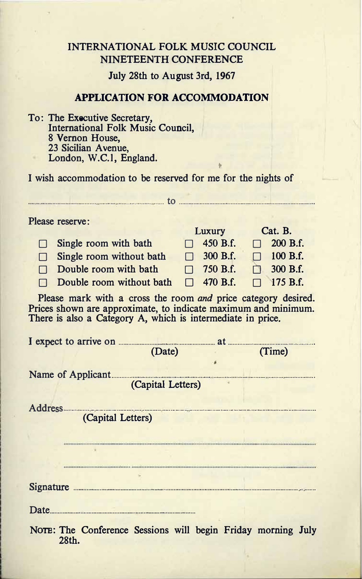## INTERNATIONAL FOLK MUSIC COUNCIL NINETEENTH CONFERENCE

July 28th to August 3rd, 1967

### **APPLICATION FOR ACCOMMODATION**

To: The Executive Secretary, International Folk Music Council, 8 Vernon House, 23 Sicilian Avenue. London, W.C.1, England.

I wish accommodation to be reserved for me for the nights of

 $\sim$  to  $\sim$ 

Please reserve:

|                                 | Luxury |                 | Cat. B. |                 |
|---------------------------------|--------|-----------------|---------|-----------------|
| $\Box$ Single room with bath    |        | $\Box$ 450 B.f. |         | $\Box$ 200 B.f. |
| $\Box$ Single room without bath |        | $\Box$ 300 B.f. |         | $\Box$ 100 B.f. |
| $\Box$ Double room with bath    |        | $\Box$ 750 B.f. |         | $\Box$ 300 B.f. |
| $\Box$ Double room without bath |        | $\Box$ 470 B.f. |         | $\Box$ 175 B.f. |

Please mark with a cross the room and price category desired. Prices shown are approximate, to indicate maximum and minimum. There is also a Category A, which is intermediate in price.

|                    |                   | (Date)                                                       |  | (Time) |  |  |
|--------------------|-------------------|--------------------------------------------------------------|--|--------|--|--|
|                    |                   |                                                              |  |        |  |  |
| Name of Applicant. |                   |                                                              |  |        |  |  |
|                    |                   | (Capital Letters)                                            |  |        |  |  |
|                    |                   |                                                              |  |        |  |  |
|                    |                   | Address                                                      |  |        |  |  |
|                    | (Capital Letters) |                                                              |  |        |  |  |
|                    |                   |                                                              |  |        |  |  |
|                    |                   |                                                              |  |        |  |  |
|                    |                   |                                                              |  |        |  |  |
|                    |                   |                                                              |  |        |  |  |
|                    |                   |                                                              |  |        |  |  |
| Date.              |                   |                                                              |  |        |  |  |
|                    |                   | NOTE: The Conference Sessions will begin Friday morning July |  |        |  |  |

28th.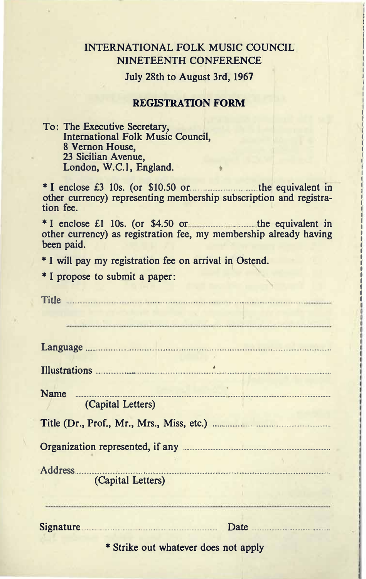## INTERNATIONAL FOLK MUSIC COUNCIL NINETEENTH CONFERENCE

July 28th to August 3rd, 1967

#### **REGISTRATION FORM**

To: The Executive Secretary, International Folk Music Council, 8 Vernon House. 23 Sicilian Avenue, London, W.C.1, England.

\* I enclose £3 10s. (or \$10.50 or the equivalent in other currency) representing membership subscription and registration fee.

\* I enclose £1 10s. (or  $$4.50$  or the equivalent in other currency) as registration fee, my membership already having been paid.

\* I will pay my registration fee on arrival in Ostend.

\* I propose to submit a paper:

| Title <b>Commission Commission Commission</b>                                                                                                                                                                                        |  |  |  |
|--------------------------------------------------------------------------------------------------------------------------------------------------------------------------------------------------------------------------------------|--|--|--|
|                                                                                                                                                                                                                                      |  |  |  |
|                                                                                                                                                                                                                                      |  |  |  |
| Illustrations <b>Executive Contract on the Contract of Contract on the Contract of Contract of Contract on the Contract of Contract of Contract on the Contract of Contract of Contract of Contract of Contract of Contract of C</b> |  |  |  |
| Name<br>(Capital Letters)                                                                                                                                                                                                            |  |  |  |
| Title (Dr., Prof., Mr., Mrs., Miss, etc.) <b>Example 20</b> in the U.S.                                                                                                                                                              |  |  |  |
| Organization represented, if any <b>contract of the contract of the contract of the contract of the contract of the contract of the contract of the contract of the contract of the contract of the contract of the contract of </b> |  |  |  |
|                                                                                                                                                                                                                                      |  |  |  |
| (Capital Letters)                                                                                                                                                                                                                    |  |  |  |
| Signature Date Date                                                                                                                                                                                                                  |  |  |  |
| * Strike out whatever does not apply                                                                                                                                                                                                 |  |  |  |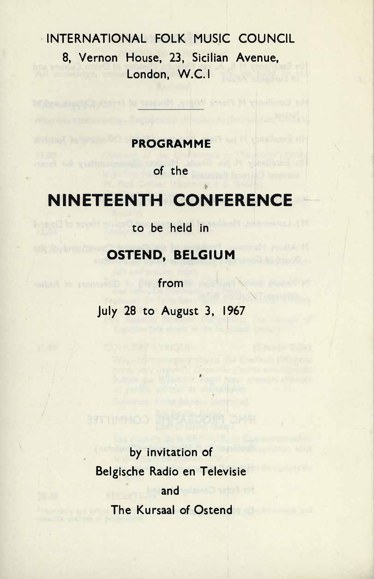# INTERNATIONAL FOLK MUSIC COUNCIL 8. Vernon House, 23. Sicilian Avenue. London, W.C.I.

## **PROGRAMME**

le essabete e kiva ev

of the

# **NINETEENTH CONFERENCE**

to be held in

## **OSTEND, BELGIUM**

from

July 28 to August 3, 1967

by invitation of Belgische Radio en Televisie and **MO satalistic** The Kursaal of Ostend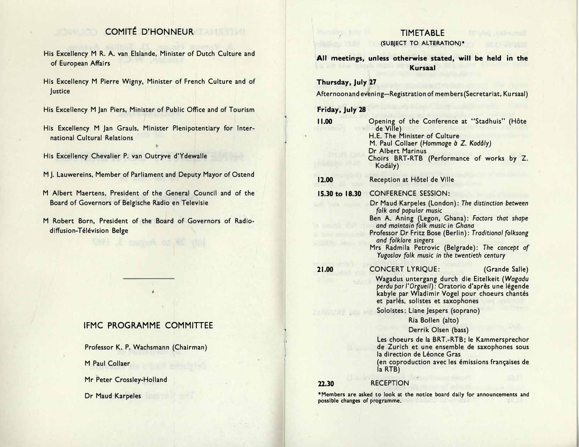## COMITÉ D'HONNEUR

- His Excellency M R. A. van Elslande, Minister of Dutch Culture and of European Affairs
- His Excellency M Pierre Wigny, Minister of French Culture and of Justice
- His Excellency M Jan Piers, Minister of Public Office and of Tourism
- His Excellency M Jan Grauls, Minister Plenipotentiary for International Cultural Relations
- His Excellency Chevalier P. van Outryve d'Ydewalle
- M J. Lauwereins, Member of Parliament and Deputy Mayor of Ostend
- M Albert Maertens, President of the General Council and of the Board of Governors of Belgische Radio en Televisie
- M Robert Born, President of the Board of Governors of Radiodiffusion-Télévision Belge

## IFMC PROGRAMME COMMITTEE

Professor K. P. Wachsmann (Chairman)

M Paul Collaer

Mr Peter Crossley-Holland

Dr Maud Karpeles

# **TIMETABLE**

## (SUBJECT TO ALTERATION)\*

All meetings, unless otherwise stated, will be held in the Kursaal

### Thursday, July 27

Afternoon and evening-Registration of members (Secretariat, Kursaal)

### Friday, July 28

| 11.00                          | Opening of the Conference at "Stadhuis" (Hôte<br>de Ville)<br>H.E. The Minister of Culture<br>M. Paul Collaer (Hommage à Z. Kodály)<br>Dr Albert Marinus<br>Choirs BRT-RTB (Performance of works by Z.<br>Kodály)                                                                                                                                        |
|--------------------------------|----------------------------------------------------------------------------------------------------------------------------------------------------------------------------------------------------------------------------------------------------------------------------------------------------------------------------------------------------------|
| 12.00                          | Reception at Hôtel de Ville                                                                                                                                                                                                                                                                                                                              |
| 15.30 to 18.30                 | <b>CONFERENCE SESSION:</b>                                                                                                                                                                                                                                                                                                                               |
|                                | Dr Maud Karpeles (London): The distinction between<br>folk and popular music<br>Ben A. Aning (Legon, Ghana): Factors that shape<br>and maintain folk music in Ghana<br>Professor Dr Fritz Bose (Berlin): Traditional folksong<br>and folklore singers<br>Mrs Radmila Petrovic (Belgrade): The concept of<br>Yugoslav folk music in the twentieth century |
| 21.00                          | <b>CONCERT LYRIQUE:</b><br>(Grande Salle)<br>Wagadus untergang durch die Eitelkeit (Wagadu<br>perdu par l'Orgueil): Oratorio d'après une légende<br>kabyle par Wladimir Vogel pour choeurs chantés<br>et parlés, solistes et saxophones                                                                                                                  |
|                                | Soloistes: Liane Jespers (soprano)                                                                                                                                                                                                                                                                                                                       |
|                                | Ria Bollen (alto)                                                                                                                                                                                                                                                                                                                                        |
|                                | Derrik Olsen (bass)                                                                                                                                                                                                                                                                                                                                      |
|                                | Les choeurs de la BRT.-RTB; le Kammersprechor<br>de Zurich et une ensemble de saxophones sous<br>la direction de Léonce Gras<br>(en coproduction avec les émissions françaises de<br>la RTB)                                                                                                                                                             |
| 22.30                          | <b>RECEPTION</b>                                                                                                                                                                                                                                                                                                                                         |
| possible changes of programme. | *Members are asked to look at the notice board daily for announcements and                                                                                                                                                                                                                                                                               |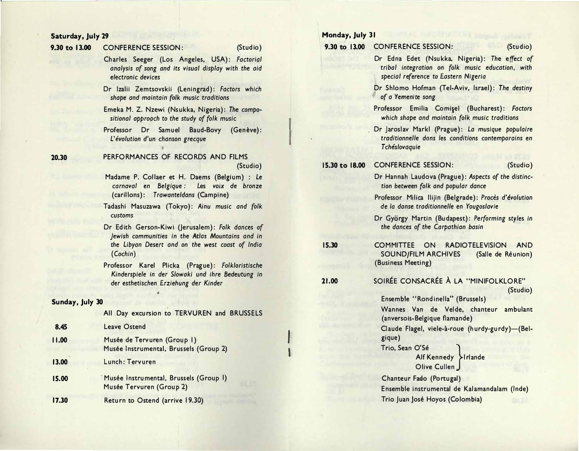#### Saturday, July 29

20.30

#### 9.30 to 13.00 **CONFERENCE SESSION:**

#### (Studio)

Charles Seeger (Los Angeles, USA): Factorial analysis of song and its visual display with the aid electronic devices

- Dr Izalii Zemtsovskii (Leningrad): Factors which shape and maintain folk music traditions
- Emeka M. Z. Nzewi (Nsukka, Nigeria): The compositional approach to the study of folk music
- Professor Dr Samuel Baud-Bovy (Genève): L'évolution d'un chanson grecque
- PERFORMANCES OF RECORDS AND FILMS (Studio)
- Madame P. Collaer et H. Daems (Belgium) : Le carnaval en Belgique: Les voix de bronze (carillons): Trawanteldans (Campine)
- Tadashi Masuzawa (Tokyo): Ainu music and folk customs
- Dr Edith Gerson-Kiwi (Jerusalem): Folk dances of Jewish communities in the Atlas Mountains and in the Libyan Desert and on the west coast of India  $(Cochin)$
- Professor Karel Plicka (Prague): Folkloristische Kinderspiele in der Slowaki und ihre Bedeutung in der esthetischen Erziehung der Kinder

#### Sunday, July 30

All Day excursion to TERVUREN and BRUSSELS

| 8.45  | <b>Leave Ostend</b>                                                   |
|-------|-----------------------------------------------------------------------|
| 11.00 | Musée de Tervuren (Group I)<br>Musée Instrumental, Brussels (Group 2) |
| 13.00 | Lunch: Tervuren                                                       |
| 15.00 | Musée Instrumental, Brussels (Group I)<br>Musée Tervuren (Group 2)    |
| 17.30 | Return to Ostend (arrive 19.30)                                       |

### Monday, July 31

9.30 to 13.00 CONFERENCE SESSION:

(Studio)

Dr Edna Edet (Nsukka, Nigeria): The effect of tribal integration on folk music education, with special reference to Eastern Nigeria

Dr Shlomo Hofman (Tel-Aviv, Israel): The destiny of a Yemenite song

- Professor Emilia Comișel (Bucharest): Factors which shape and maintain folk music traditions
- Dr laroslav Markl (Prague): La musique populaire traditionnelle dans les conditions contemporains en Tchéslovaquie

#### **CONFERENCE SESSION:** 15.30 to 18.00

#### (Studio)

- Dr Hannah Laudova (Prague): Aspects of the distinction between folk and popular dance
- Professor Milica Ilijin (Belgrade): Procès d'évolution de la danse traditionnelle en Yougoslavie

Dr György Martin (Budapest): Performing styles in the dances of the Carbathian basin

- 15.30 COMMITTEE ON RADIOTELEVISION AND **SOUND/FILM ARCHIVES** (Salle de Réunion) (Business Meeting)
- SOIRÉE CONSACRÉE À LA "MINIFOLKLORE" 21.00

(Studio)

Ensemble "Rondinella" (Brussels) Wannes Van de Velde, chanteur ambulant (anversois-Belgique flamande) Claude Flagel, viele-à-roue (hurdy-gurdy)-(Belgique) Trio, Sean O'Sé Alf Kennedy > Irlande Olive Cullen Chanteur Fado (Portugal)

Ensemble instrumental de Kalamandalam (Inde) Trio Juan José Hoyos (Colombia)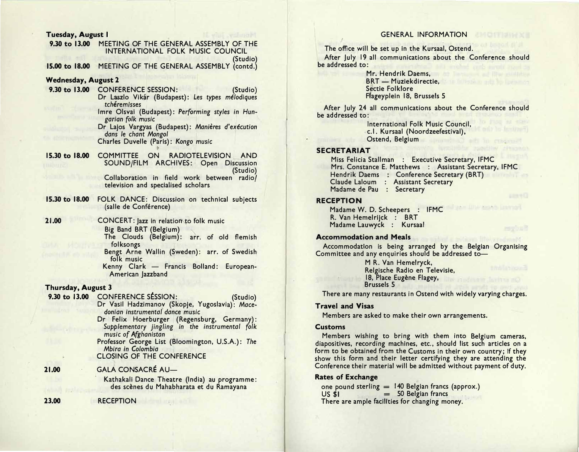#### Tuesday, August I

9.30 to 13.00 MEETING OF THE GENERAL ASSEMBLY OF THE INTERNATIONAL FOLK MUSIC COUNCIL (Studio)

15.00 to 18.00 MEETING OF THE GENERAL ASSEMBLY (contd.)

#### **Wednesday, August 2**

9.30 to 13.00 CONFERENCE SESSION: (Studio) Dr Laszlo Vikár (Budapest): Les types mélodiques tchéremisses Imre Olsvai (Budapest): Performing styles in Hun-

> garian folk music Dr Lajos Vargyas (Budapest): Manières d'exécution dans le chant Mongol

Charles Duvelle (Paris): Kongo music

15.30 to 18.00 COMMITTEE ON RADIOTELEVISION AND SOUND/FILM ARCHIVES: Open Discussion (Studio) Collaboration in field work between radio/ television and specialised scholars

15.30 to 18.00 FOLK DANCE: Discussion on technical subjects (salle de Conférence)

CONCERT: Jazz in relation to folk music Big Band BRT (Belgium) The Clouds (Belgium): arr. of old flemish

> folksongs Bengt Arne Wallin (Sweden): arr. of Swedish folk music

Kenny Clark - Francis Bolland: European-American Jazzband

(Studio)

#### Thursday, August 3

9.30 to 13.00 CONFERENCE SESSION:

Dr Vasil Hadzimanov (Skopje, Yugoslavia): Macedonian instrumental dance music

- Dr Felix Hoerburger (Regensburg, Germany): Supplementary jingling in the instrumental folk music of Afghanistan Professor George List (Bloomington, U.S.A.): The
- Mbira in Colombia **CLOSING OF THE CONFERENCE**

#### **GALA CONSACRÉ AU-**21.00

Kathakali Dance Theatre (India) au programme: des scènes du Mahabharata et du Ramayana

**RECEPTION** 

### **GENERAL INFORMATION**

The office will be set up in the Kursaal, Ostend.

After luly 19 all communications about the Conference should be addressed to:

> Mr. Hendrik Daems. **BRT** - Muziekdirectie, Sectie Folklore Flageyplein 18, Brussels 5

After July 24 all communications about the Conference should be addressed to:

> International Folk Music Council, c.l. Kursaal (Noordzeefestival), Ostend, Belgium

#### **SECRETARIAT**

Miss Felicia Stallman : Executive Secretary, IFMC Mrs. Constance E. Matthews : Assistant Secretary, IFMC Hendrik Daems : Conference Secretary (BRT) Claude Laloum : Assistant Secretary Madame de Pau : Secretary

Juan IIIto assas laurual

#### **RECEPTION**

Madame W. D. Scheepers : IFMC R. Van Hemelrijck: BRT Madame Lauwyck : Kursaal

#### **Accommodation and Meals**

Accommodation is being arranged by the Belgian Organising Committee and any enquiries should be addressed to-

> M R. Van Hemelryck, Relgische Radio en Televisie, 18, Place Eugène Flagey, **Brussels 5**

There are many restaurants in Ostend with widely varying charges.

#### **Travel and Visas**

Members are asked to make their own arrangements.

#### **Customs**

Members wishing to bring with them into Belgium cameras, diapositives, recording machines, etc., should list such articles on a form to be obtained from the Customs in their own country; if they show this form and their letter certifying they are attending the Conference their material will be admitted without payment of duty.

#### **Rates of Exchange**

one pound sterling  $=$  140 Belgian francs (approx.)  $= 50$  Belgian francs  $US$   $S1$ There are ample facilities for changing money.

23.00

21.00